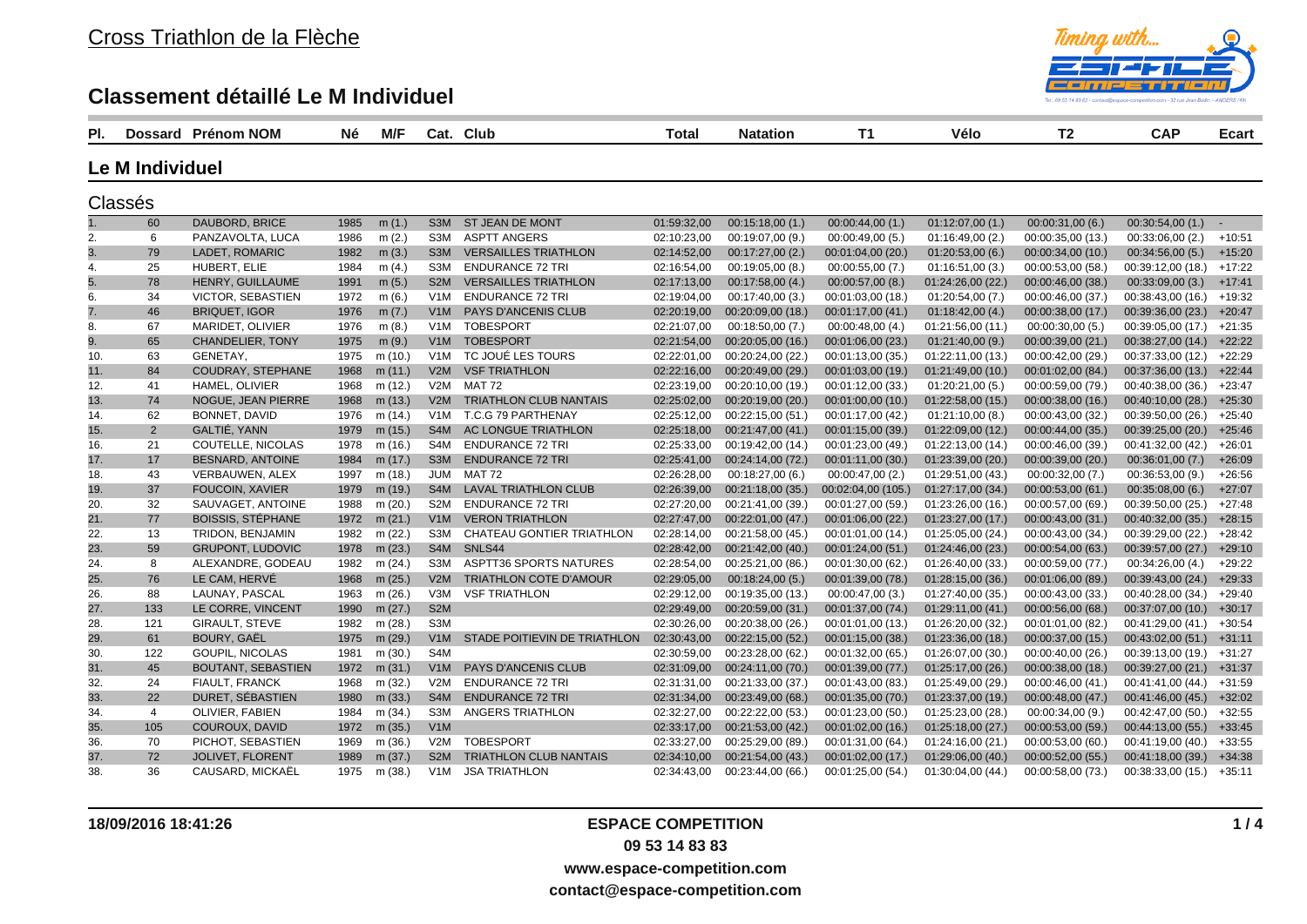

| PI. |                 | Dossard Prénom NOM        | Né   | <b>M/F</b> |                  | Cat. Club                     | Total       | <b>Natation</b>   | T1                 | Vélo              | T2                | <b>CAP</b>                | <b>Ecart</b> |
|-----|-----------------|---------------------------|------|------------|------------------|-------------------------------|-------------|-------------------|--------------------|-------------------|-------------------|---------------------------|--------------|
|     | Le M Individuel |                           |      |            |                  |                               |             |                   |                    |                   |                   |                           |              |
|     | Classés         |                           |      |            |                  |                               |             |                   |                    |                   |                   |                           |              |
|     | 60              | DAUBORD, BRICE            | 1985 | m(1.)      | S3M              | ST JEAN DE MONT               | 01:59:32,00 | 00:15:18,00(1.)   | 00:00:44,00(1)     | 01:12:07,00(1.)   | 00:00:31,00(6.)   | 00:30:54,00(1)            | $\sim$       |
| 2.  | 6               | PANZAVOLTA, LUCA          | 1986 | m(2.)      | S3M              | <b>ASPTT ANGERS</b>           | 02:10:23,00 | 00:19:07,00 (9.)  | 00:00:49,00(5.)    | 01:16:49,00(2.)   | 00:00:35,00 (13.) | 00:33:06,00(2.)           | $+10:51$     |
| 3.  | 79              | LADET, ROMARIC            | 1982 | m(3.)      | S <sub>3</sub> M | <b>VERSAILLES TRIATHLON</b>   | 02:14:52,00 | 00:17:27,00(2.)   | 00:01:04,00 (20.)  | 01:20:53,00(6.)   | 00:00:34,00(10)   | 00:34:56,00(5.)           | $+15:20$     |
| 4.  | 25              | HUBERT, ELIE              | 1984 | m(4.)      | S3M              | <b>ENDURANCE 72 TRI</b>       | 02:16:54,00 | 00:19:05,00(8.)   | 00:00:55,00(7.)    | 01:16:51,00(3)    | 00:00:53,00 (58.) | 00:39:12,00 (18.)         | $+17:22$     |
| 5.  | 78              | HENRY, GUILLAUME          | 1991 | m(5.)      | S <sub>2</sub> M | <b>VERSAILLES TRIATHLON</b>   | 02:17:13,00 | 00:17:58,00(4.)   | 00:00:57,00(8.)    | 01:24:26,00 (22.) | 00:00:46,00(38.)  | 00:33:09,00(3)            | $+17:41$     |
| 6.  | 34              | <b>VICTOR, SEBASTIEN</b>  | 1972 | m(6.)      | V <sub>1</sub> M | <b>ENDURANCE 72 TRI</b>       | 02:19:04,00 | 00:17:40,00 (3.)  | 00:01:03.00 (18.)  | 01:20:54,00(7.)   | 00:00:46,00 (37.) | 00:38:43,00 (16.)         | $+19:32$     |
| 7.  | 46              | <b>BRIQUET, IGOR</b>      | 1976 | m $(7.)$   | V1M              | <b>PAYS D'ANCENIS CLUB</b>    | 02:20:19,00 | 00:20:09,00 (18.) | 00:01:17,00 (41.)  | 01:18:42,00(4)    | 00:00:38,00 (17.) | 00:39:36,00 (23.)         | $+20:47$     |
| 8.  | 67              | <b>MARIDET, OLIVIER</b>   | 1976 | m(8.)      | V1M              | <b>TOBESPORT</b>              | 02:21:07,00 | 00:18:50.00(7.)   | 00:00:48,00(4)     | 01:21:56,00(11)   | 00:00:30,00(5)    | 00:39:05.00 (17.)         | $+21:35$     |
| 9.  | 65              | <b>CHANDELIER, TONY</b>   | 1975 | m(9.)      | V1M              | <b>TOBESPORT</b>              | 02:21:54,00 | 00:20:05,00 (16.) | 00:01:06,00 (23.)  | 01:21:40,00(9.)   | 00:00:39,00(21)   | 00:38:27,00(14)           | $+22:22$     |
| 10. | 63              | GENETAY,                  | 1975 | m (10.)    | V1M              | TC JOUE LES TOURS             | 02:22:01,00 | 00:20:24,00 (22.) | 00:01:13,00 (35.)  | 01:22:11,00 (13.) | 00:00:42,00 (29.) | 00:37:33,00 (12.)         | $+22:29$     |
| 11. | 84              | <b>COUDRAY, STEPHANE</b>  | 1968 | m (11.)    | V2M              | <b>VSF TRIATHLON</b>          | 02:22:16,00 | 00:20:49,00 (29.) | 00:01:03,00 (19.)  | 01:21:49,00(10.)  | 00:01:02,00(84.)  | 00:37:36,00 (13.)         | $+22:44$     |
| 12. | 41              | HAMEL, OLIVIER            | 1968 | m (12.)    | V2M              | <b>MAT 72</b>                 | 02:23:19,00 | 00:20:10,00 (19.) | 00:01:12,00 (33.)  | 01:20:21,00(5.)   | 00:00:59,00 (79.) | 00:40:38,00 (36.)         | $+23:47$     |
| 13. | 74              | NOGUE, JEAN PIERRE        | 1968 | m (13.)    | V2M              | TRIATHLON CLUB NANTAIS        | 02:25:02,00 | 00:20:19,00 (20.) | 00:01:00,00(10.)   | 01:22:58,00 (15.) | 00:00:38,00(16.)  | 00:40:10,00 (28.)         | $+25:30$     |
| 14. | 62              | BONNET, DAVID             | 1976 | m (14.)    | V1M              | T.C.G 79 PARTHENAY            | 02:25:12,00 | 00:22:15,00 (51.) | 00:01:17,00 (42.)  | 01:21:10,00(8.)   | 00:00:43,00 (32.) | 00:39:50,00 (26.)         | $+25:40$     |
| 15. | $\overline{2}$  | GALTIÉ, YANN              | 1979 | m (15.)    | S <sub>4</sub> M | AC LONGUE TRIATHLON           | 02:25:18,00 | 00:21:47,00 (41.) | 00:01:15,00 (39.)  | 01:22:09,00 (12.) | 00:00:44,00 (35.) | 00:39:25,00 (20.)         | $+25:46$     |
| 16. | 21              | COUTELLE, NICOLAS         | 1978 | m (16.)    | S4M              | <b>ENDURANCE 72 TRI</b>       | 02:25:33,00 | 00:19:42,00 (14.) | 00:01:23,00 (49.)  | 01:22:13,00 (14.) | 00:00:46,00(39)   | 00:41:32,00 (42.)         | $+26:01$     |
| 17. | 17              | BESNARD, ANTOINE          | 1984 | m (17.)    | S <sub>3</sub> M | <b>ENDURANCE 72 TRI</b>       | 02:25:41,00 | 00:24:14,00(72)   | 00:01:11,00 (30.)  | 01:23:39,00 (20.) | 00:00:39:00(20.)  | 00:36:01,00(7.)           | $+26:09$     |
| 18. | 43              | VERBAUWEN, ALEX           | 1997 | m (18.)    | JUM              | <b>MAT 72</b>                 | 02:26:28,00 | 00:18:27,00(6.)   | 00:00:47,00(2.)    | 01:29:51,00 (43.) | 00:00:32,00(7.)   | 00:36:53,00(9.)           | $+26:56$     |
| 19. | 37              | FOUCOIN, XAVIER           | 1979 | m (19.)    | S4M              | LAVAL TRIATHLON CLUB          | 02:26:39,00 | 00:21:18,00(35)   | 00:02:04,00 (105.) | 01:27:17,00 (34.) | 00:00:53,00(61)   | 00:35:08,00(6.)           | $+27:07$     |
| 20. | 32              | SAUVAGET, ANTOINE         | 1988 | m (20.)    | S2M              | <b>ENDURANCE 72 TRI</b>       | 02:27:20,00 | 00:21:41,00 (39.) | 00:01:27,00 (59.)  | 01:23:26,00 (16.) | 00:00:57,00 (69.) | 00:39:50,00 (25.)         | $+27:48$     |
| 21. | 77              | <b>BOISSIS, STÉPHANE</b>  | 1972 | m (21.)    | V1M              | <b>VERON TRIATHLON</b>        | 02:27:47,00 | 00:22:01,00 (47.) | 00:01:06,00 (22.)  | 01:23:27,00 (17.) | 00:00:43,00(31)   | 00:40:32,00 (35.)         | $+28:15$     |
| 22. | 13              | TRIDON, BENJAMIN          | 1982 | m (22.)    | S3M              | CHATEAU GONTIER TRIATHLON     | 02:28:14,00 | 00:21:58,00 (45.) | 00:01:01,00 (14.)  | 01:25:05,00 (24.) | 00:00:43,00 (34.) | 00:39:29,00 (22.)         | $+28:42$     |
| 23. | 59              | <b>GRUPONT, LUDOVIC</b>   | 1978 | m (23.)    | S4M              | SNLS44                        | 02:28:42,00 | 00:21:42,00 (40.) | 00:01:24,00 (51.)  | 01:24:46,00 (23.) | 00:00:54,00 (63.) | 00:39:57,00 (27.)         | $+29:10$     |
| 24. | 8               | ALEXANDRE, GODEAU         | 1982 | m (24.)    | S3M              | <b>ASPTT36 SPORTS NATURES</b> | 02:28:54,00 | 00:25:21,00 (86.) | 00:01:30,00 (62.)  | 01:26:40,00 (33.) | 00:00:59,00 (77.) | 00:34:26,00(4.)           | $+29:22$     |
| 25. | 76              | LE CAM, HERVE             | 1968 | m (25.)    | V2M              | <b>TRIATHLON COTE D'AMOUR</b> | 02:29:05,00 | 00:18:24,00(5.)   | 00:01:39,00 (78.)  | 01:28:15,00 (36.) | 00:01:06,00(89.)  | 00:39:43,00 (24.)         | $+29:33$     |
| 26. | 88              | LAUNAY, PASCAL            | 1963 | m (26.)    | V3M              | <b>VSF TRIATHLON</b>          | 02:29:12,00 | 00:19:35,00 (13.) | 00:00:47,00 (3.)   | 01:27:40,00 (35.) | 00:00:43,00 (33.) | 00:40:28,00 (34.)         | $+29:40$     |
| 27. | 133             | LE CORRE, VINCENT         | 1990 | m (27.)    | S <sub>2</sub> M |                               | 02:29:49,00 | 00:20:59,00(31)   | 00:01:37,00 (74.)  | 01:29:11,00 (41.) | 00:00:56,00(68.)  | 00:37:07,00(10)           | $+30:17$     |
| 28. | 121             | GIRAULT, STEVE            | 1982 | m (28.)    | S <sub>3</sub> M |                               | 02:30:26,00 | 00:20:38,00 (26.) | 00:01:01,00 (13.)  | 01:26:20,00 (32.) | 00:01:01,00 (82.) | 00:41:29,00 (41.)         | $+30:54$     |
| 29. | 61              | <b>BOURY, GAËL</b>        | 1975 | m (29.)    | V1M              | STADE POITIEVIN DE TRIATHLON  | 02:30:43,00 | 00:22:15,00 (52.) | 00:01:15,00 (38.)  | 01:23:36,00 (18.) | 00:00:37,00(15.)  | 00:43:02,00(51)           | $+31:11$     |
| 30. | 122             | GOUPIL, NICOLAS           | 1981 | m (30.)    | S <sub>4</sub> M |                               | 02:30:59,00 | 00:23:28,00 (62.) | 00:01:32,00 (65.)  | 01:26:07,00 (30.) | 00:00:40,00 (26.) | 00:39:13,00 (19.)         | $+31:27$     |
| 31. | 45              | <b>BOUTANT, SEBASTIEN</b> | 1972 | m (31.)    | V1M              | <b>PAYS D'ANCENIS CLUB</b>    | 02:31:09,00 | 00:24:11,00 (70.) | 00:01:39,00 (77.)  | 01:25:17,00 (26.) | 00:00:38,00(18.)  | 00:39:27,00 (21.)         | $+31:37$     |
| 32. | 24              | FIAULT, FRANCK            | 1968 | m (32.)    | V2M              | <b>ENDURANCE 72 TRI</b>       | 02:31:31,00 | 00:21:33,00 (37.) | 00:01:43,00 (83.)  | 01:25:49,00 (29.) | 00:00:46,00(41)   | 00:41:41,00 (44.)         | $+31:59$     |
| 33. | 22              | DURET, SÉBASTIEN          | 1980 | m (33.)    | S <sub>4</sub> M | <b>ENDURANCE 72 TRI</b>       | 02:31:34,00 | 00:23:49,00(68)   | 00:01:35,00 (70.)  | 01:23:37,00 (19.) | 00:00:48,00(47.)  | 00:41:46,00 (45.)         | $+32:02$     |
| 34. | $\overline{4}$  | OLIVIER, FABIEN           | 1984 | m (34.)    | S3M              | ANGERS TRIATHLON              | 02:32:27,00 | 00:22:22,00 (53.) | 00:01:23,00 (50.)  | 01:25:23,00 (28.) | 00:00:34,00 (9.)  | 00:42:47,00 (50.)         | $+32:55$     |
| 35. | 105             | COUROUX, DAVID            | 1972 | m (35.)    | V1M              |                               | 02:33:17,00 | 00:21:53,00 (42.) | 00:01:02,00 (16.)  | 01:25:18,00(27.)  | 00:00:53,00 (59.) | 00:44:13,00 (55.)         | $+33:45$     |
| 36. | 70              | PICHOT, SEBASTIEN         | 1969 | m (36.)    | V2M              | <b>TOBESPORT</b>              | 02:33:27,00 | 00:25:29,00 (89.) | 00:01:31,00 (64.)  | 01:24:16,00(21)   | 00:00:53,00(60.)  | 00:41:19,00 (40.)         | $+33:55$     |
| 37. | 72              | JOLIVET, FLORENT          | 1989 | m (37.)    | S <sub>2</sub> M | <b>TRIATHLON CLUB NANTAIS</b> | 02:34:10,00 | 00:21:54,00 (43.) | 00:01:02,00(17.)   | 01:29:06,00 (40.) | 00:00:52,00(55)   | 00:41:18,00(39)           | $+34:38$     |
| 38. | 36              | CAUSARD, MICKAËL          | 1975 | m (38.)    | V1M              | <b>JSA TRIATHLON</b>          | 02:34:43,00 | 00:23:44,00 (66.) | 00:01:25,00(54)    | 01:30:04,00(44)   | 00:00:58,00 (73.) | $00:38:33,00(15.)$ +35:11 |              |

**1 / 4**

**www.espace-competition.com**

**contact@espace-competition.com**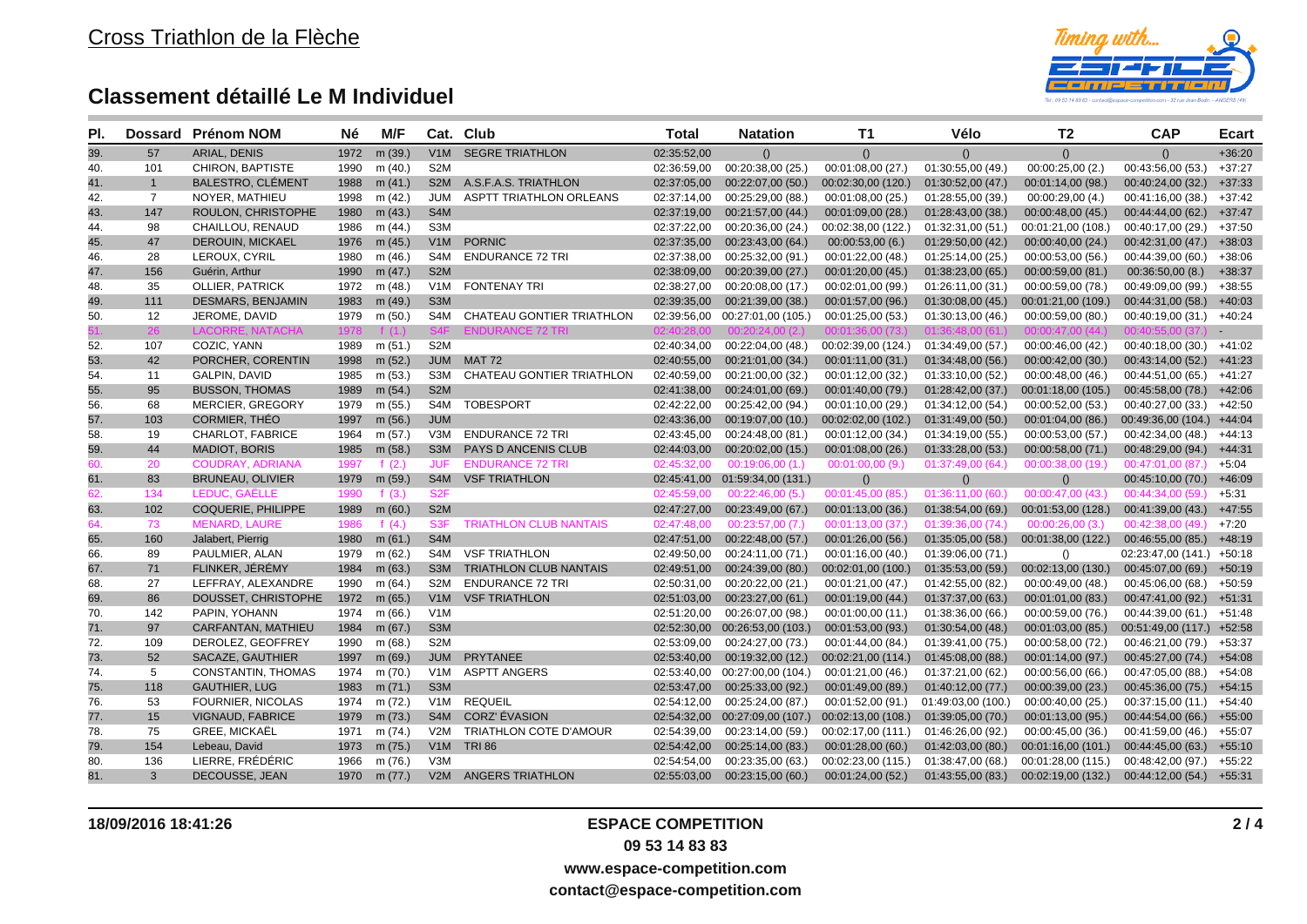

| PI. | <b>Dossard</b> | <b>Prénom NOM</b>         | Né   | M/F          |                  | Cat. Club                        | Total       | <b>Natation</b>                  | <b>T1</b>          | Vélo               | T <sub>2</sub>     | <b>CAP</b>                | Ecart    |
|-----|----------------|---------------------------|------|--------------|------------------|----------------------------------|-------------|----------------------------------|--------------------|--------------------|--------------------|---------------------------|----------|
| 39. | 57             | <b>ARIAL, DENIS</b>       | 1972 | m (39.)      | V1M              | <b>SEGRE TRIATHLON</b>           | 02:35:52,00 | ()                               | $\left( \right)$   | $\Omega$           | $\left( \right)$   | ()                        | $+36:20$ |
| 40. | 101            | CHIRON, BAPTISTE          | 1990 | m $(40.)$    | S <sub>2</sub> M |                                  | 02:36:59,00 | 00:20:38,00 (25.)                | 00:01:08,00 (27.)  | 01:30:55,00 (49.)  | 00:00:25,00(2.)    | 00:43:56,00 (53.)         | $+37:27$ |
| 41. | $\mathbf{1}$   | <b>BALESTRO, CLÉMENT</b>  | 1988 | m $(41.)$    |                  | S2M A.S.F.A.S. TRIATHLON         | 02:37:05,00 | 00:22:07,00(50.)                 | 00:02:30,00 (120.) | 01:30:52,00 (47.)  | 00:01:14,00 (98.)  | 00:40:24,00 (32.)         | $+37:33$ |
| 42. | $\overline{7}$ | NOYER, MATHIEU            | 1998 | m (42.)      | JUM              | ASPTT TRIATHLON ORLEANS          | 02:37:14,00 | 00:25:29,00 (88.)                | 00:01:08,00 (25.)  | 01:28:55,00 (39.)  | 00:00:29,00(4.)    | 00:41:16,00 (38.)         | $+37:42$ |
| 43. | 147            | ROULON, CHRISTOPHE        | 1980 | m(43.)       | S4M              |                                  | 02:37:19,00 | 00:21:57,00 (44.)                | 00:01:09,00 (28.)  | 01:28:43,00 (38.)  | 00:00:48,00 (45.)  | 00:44:44,00 (62.)         | $+37:47$ |
| 44. | 98             | CHAILLOU, RENAUD          | 1986 | m (44.)      | S <sub>3</sub> M |                                  | 02:37:22.00 | 00:20:36,00 (24.)                | 00:02:38,00 (122.) | 01:32:31,00 (51.)  | 00:01:21,00 (108.) | 00:40:17,00 (29.)         | $+37:50$ |
| 45. | 47             | <b>DEROUIN, MICKAEL</b>   | 1976 | m (45.)      | V1M              | <b>PORNIC</b>                    | 02:37:35,00 | 00:23:43,00 (64.)                | 00:00:53,00(6.)    | 01:29:50,00(42.)   | 00:00:40,00 (24.)  | 00:42:31,00 (47.)         | $+38:03$ |
| 46. | 28             | LEROUX, CYRIL             | 1980 | m (46.)      | S4M              | <b>ENDURANCE 72 TRI</b>          | 02:37:38,00 | 00:25:32,00 (91.)                | 00:01:22,00(48.)   | 01:25:14,00(25.)   | 00:00:53,00 (56.)  | 00:44:39,00 (60.)         | $+38:06$ |
| 47. | 156            | Guérin, Arthur            | 1990 | m $(47.)$    | S <sub>2</sub> M |                                  | 02:38:09,00 | 00:20:39,00 (27.)                | 00:01:20,00 (45.)  | 01:38:23,00(65.)   | 00:00:59,00 (81.)  | 00:36:50,00(8.)           | $+38:37$ |
| 48. | 35             | <b>OLLIER, PATRICK</b>    | 1972 | m (48.)      | V <sub>1</sub> M | <b>FONTENAY TRI</b>              | 02:38:27,00 | 00:20:08,00 (17.)                | 00:02:01,00 (99.)  | 01:26:11,00 (31.)  | 00:00:59,00 (78.)  | 00:49:09,00 (99.)         | $+38:55$ |
| 49. | 111            | <b>DESMARS, BENJAMIN</b>  | 1983 | m (49.)      | S <sub>3</sub> M |                                  | 02:39:35,00 | 00:21:39,00 (38.)                | 00:01:57,00 (96.)  | 01:30:08,00(45.)   | 00:01:21,00 (109.) | 00:44:31,00(58)           | $+40:03$ |
| 50. | 12             | JEROME, DAVID             | 1979 | m (50.)      | S4M              | CHATEAU GONTIER TRIATHLON        | 02:39:56,00 | 00:27:01,00 (105.)               | 00:01:25:00(53)    | 01:30:13,00 (46.)  | 00:00:59,00 (80.)  | 00:40:19,00 (31.)         | $+40:24$ |
|     |                | $1 \Delta$ CO             |      |              | <b>S4F</b>       | IDURANCE 72 TRI                  |             |                                  |                    |                    |                    |                           |          |
| 52. | 107            | COZIC, YANN               | 1989 | m(51.)       | S <sub>2</sub> M |                                  | 02:40:34,00 | 00:22:04,00 (48.)                | 00:02:39,00 (124.) | 01:34:49,00 (57.)  | 00:00:46,00 (42.)  | 00:40:18,00 (30.)         | +41:02   |
| 53. | 42             | PORCHER, CORENTIN         | 1998 | m(52.)       |                  | JUM MAT 72                       | 02:40:55,00 | 00:21:01,00 (34.)                | 00:01:11,00 (31.)  | 01:34:48,00(56.)   | 00:00:42,00 (30.)  | 00:43:14,00(52)           | $+41:23$ |
| 54. | 11             | <b>GALPIN, DAVID</b>      | 1985 | m (53.)      | S3M              | <b>CHATEAU GONTIER TRIATHLON</b> | 02:40:59,00 | 00:21:00,00 (32.)                | 00:01:12,00(32)    | 01:33:10,00 (52.)  | 00:00:48,00 (46.)  | 00:44:51,00 (65.)         | $+41:27$ |
| 55. | 95             | <b>BUSSON, THOMAS</b>     | 1989 | m (54.)      | S <sub>2</sub> M |                                  | 02:41:38,00 | 00:24:01.00 (69.)                | 00:01:40,00(79)    | 01:28:42,00(37)    | 00:01:18,00 (105.) | 00:45:58,00(78)           | $+42:06$ |
| 56. | 68             | <b>MERCIER, GREGORY</b>   | 1979 | m (55.)      | S4M              | <b>TOBESPORT</b>                 | 02:42:22,00 | 00:25:42,00 (94.)                | 00:01:10,00 (29.)  | 01:34:12,00 (54.)  | 00:00:52,00 (53.)  | 00:40:27,00 (33.)         | $+42:50$ |
| 57. | 103            | <b>CORMIER, THEO</b>      | 1997 | m (56.)      | <b>JUM</b>       |                                  | 02:43:36,00 | 00:19:07,00 (10.)                | 00:02:02,00 (102.) | 01:31:49,00 (50.)  | 00:01:04,00 (86.)  | 00:49:36,00 (104.)        | $+44:04$ |
| 58. | 19             | CHARLOT, FABRICE          | 1964 | m (57.)      | V3M              | <b>ENDURANCE 72 TRI</b>          | 02:43:45,00 | 00:24:48,00 (81.)                | 00:01:12,00 (34.)  | 01:34:19,00 (55.)  | 00:00:53,00 (57.)  | 00:42:34,00 (48.)         | +44:13   |
| 59. | 44             | <b>MADIOT, BORIS</b>      | 1985 | m (58.)      |                  | S3M PAYS D ANCENIS CLUB          | 02:44:03.00 | 00:20:02,00 (15.)                | 00:01:08,00 (26.)  | 01:33:28,00(53)    | 00:00:58,00 (71.)  | 00:48:29,00 (94.) +44:31  |          |
| 60. | 20             | <b>COUDRAY, ADRIANA</b>   | 1997 | f $(2.)$     | <b>JUF</b>       | <b>ENDURANCE 72 TRI</b>          | 02:45:32.00 | 00:19:06,00(1)                   | 00:01:00,00(9.)    | 01:37:49,00 (64.)  | 00:00:38,00 (19.)  | 00:47:01.00 (87.)         | $+5:04$  |
| 61. | 83             | <b>BRUNEAU, OLIVIER</b>   | 1979 | m (59.)      |                  | S4M VSF TRIATHLON                |             | 02:45:41,00  01:59:34,00  (131.) | ()                 | ()                 | ()                 | 00:45:10,00 (70.)         | $+46:09$ |
| 62. | 134            | LEDUC, GAËLLE             | 1990 | f $(3.)$     | S <sub>2F</sub>  |                                  | 02:45:59,00 | 00:22:46,00(5.)                  | 00:01:45,00 (85.)  | 01:36:11,00(60)    | 00:00:47,00 (43.)  | 00:44:34,00 (59.)         | $+5:31$  |
| 63. | 102            | <b>COQUERIE, PHILIPPE</b> | 1989 | m (60.)      | S <sub>2</sub> M |                                  | 02:47:27,00 | 00:23:49,00 (67.)                | 00:01:13,00 (36.)  | 01:38:54,00 (69.)  | 00:01:53,00 (128.) | 00:41:39,00 (43.)         | $+47:55$ |
| 64. | 73             | <b>MENARD, LAURE</b>      | 1986 | f $(4.)$     | S <sub>3F</sub>  | <b>TRIATHLON CLUB NANTAIS</b>    | 02:47:48.00 | 00:23:57.00(7)                   | 00:01:13.00(37)    | 01:39:36,00 (74.)  | 00:00:26.00(3.)    | 00:42:38.00(49)           | $+7:20$  |
| 65. | 160            | Jalabert, Pierrig         | 1980 | m (61.)      | S <sub>4</sub> M |                                  | 02:47:51,00 | 00:22:48,00 (57.)                | 00:01:26,00(56.)   | 01:35:05,00(58.)   | 00:01:38,00 (122.) | 00:46:55,00 (85.)         | $+48:19$ |
| 66. | 89             | PAULMIER, ALAN            | 1979 | m (62.)      |                  | S4M VSF TRIATHLON                | 02:49:50,00 | 00:24:11,00 (71.)                | 00:01:16,00 (40.)  | 01:39:06,00 (71.)  | ()                 | 02:23:47,00 (141.) +50:18 |          |
| 67. | 71             | FLINKER, JÉRÉMY           | 1984 | m (63.)      |                  | S3M TRIATHLON CLUB NANTAIS       | 02:49:51,00 | 00:24:39,00 (80.)                | 00:02:01,00 (100.) | 01:35:53,00 (59.)  | 00:02:13,00 (130.) | 00:45:07,00 (69.) +50:19  |          |
| 68. | 27             | LEFFRAY, ALEXANDRE        | 1990 | m (64.)      | S <sub>2</sub> M | <b>ENDURANCE 72 TRI</b>          | 02:50:31,00 | 00:20:22,00 (21.)                | 00:01:21,00 (47.)  | 01:42:55,00 (82.)  | 00:00:49,00 (48.)  | 00:45:06,00 (68.)         | $+50:59$ |
| 69. | 86             | DOUSSET, CHRISTOPHE       | 1972 | m (65.)      |                  | V1M VSF TRIATHLON                | 02:51:03,00 | 00:23:27,00 (61.)                | 00:01:19:00(44)    | 01:37:37,00 (63.)  | 00:01:01.00 (83.)  | 00:47:41,00 (92.)         | $+51:31$ |
| 70. | 142            | PAPIN, YOHANN             | 1974 | m (66.)      | V1M              |                                  | 02:51:20,00 | 00:26:07,00 (98.)                | 00:01:00,00 (11.)  | 01:38:36,00 (66.)  | 00:00:59,00 (76.)  | 00:44:39,00 (61.) +51:48  |          |
| 71. | 97             | CARFANTAN, MATHIEU        | 1984 | m (67.)      | S <sub>3</sub> M |                                  |             | 02:52:30,00 00:26:53,00 (103.)   | 00:01:53,00 (93.)  | 01:30:54,00(48.)   | 00:01:03,00 (85.)  | 00:51:49,00 (117.) +52:58 |          |
| 72. | 109            | DEROLEZ, GEOFFREY         | 1990 | m (68.)      | S <sub>2</sub> M |                                  | 02:53:09,00 | 00:24:27,00 (73.)                | 00:01:44,00 (84.)  | 01:39:41,00 (75.)  | 00:00:58,00 (72.)  | 00:46:21,00 (79.)         | $+53:37$ |
| 73. | 52             | SACAZE, GAUTHIER          | 1997 | m (69.)      | <b>JUM</b>       | PRYTANEE                         | 02:53:40,00 | 00:19:32,00 (12.)                | 00:02:21,00(114)   | 01:45:08,00 (88.)  | 00:01:14,00 (97.)  | 00:45:27,00 (74.) +54:08  |          |
| 74. | 5              | <b>CONSTANTIN, THOMAS</b> | 1974 | m (70.)      |                  | V1M ASPTT ANGERS                 | 02:53:40.00 | 00:27:00.00 (104.)               | 00:01:21,00 (46.)  | 01:37:21,00 (62.)  | 00:00:56,00 (66.)  | 00:47:05,00 (88.)         | $+54:08$ |
| 75. | 118            | <b>GAUTHIER, LUG</b>      | 1983 | m (71.)      | S <sub>3</sub> M |                                  | 02:53:47,00 | 00:25:33,00 (92.)                | 00:01:49,00 (89.)  | 01:40:12,00(77)    | 00:00:39:00(23)    | 00:45:36,00 (75.)         | $+54:15$ |
| 76. | 53             | <b>FOURNIER, NICOLAS</b>  | 1974 | m (72.)      |                  | V1M REQUEIL                      | 02:54:12,00 | 00:25:24,00 (87.)                | 00:01:52,00 (91.)  | 01:49:03,00 (100.) | 00:00:40,00 (25.)  | 00:37:15,00 (11.)         | +54:40   |
| 77. | 15             | <b>VIGNAUD, FABRICE</b>   | 1979 | m (73.)      |                  | S4M CORZ' ÉVASION                |             | 02:54:32,00 00:27:09,00 (107.)   | 00:02:13,00 (108.) | 01:39:05,00 (70.)  | 00:01:13,00 (95.)  | 00:44:54,00 (66.)         | $+55:00$ |
| 78. | 75             | <b>GREE, MICKAËL</b>      | 1971 | m (74.)      | V2M              | TRIATHLON COTE D'AMOUR           | 02:54:39,00 | 00:23:14,00 (59.)                | 00:02:17,00 (111.) | 01:46:26,00 (92.)  | 00:00:45,00 (36.)  | 00:41:59,00 (46.)         | $+55:07$ |
| 79. | 154            | Lebeau, David             | 1973 | m (75.)      |                  | <b>V1M TRI86</b>                 | 02:54:42.00 | 00:25:14,00 (83.)                | 00:01:28,00(60)    | 01:42:03,00(80.)   | 00:01:16,00 (101.) | 00:44:45,00(63)           | $+55:10$ |
| 80. | 136            | LIERRE, FRÉDÉRIC          | 1966 | m (76.)      | V3M              |                                  | 02:54:54.00 | 00:23:35,00 (63.)                | 00:02:23,00 (115.) | 01:38:47,00 (68.)  | 00:01:28,00 (115.) | 00:48:42,00 (97.)         | $+55:22$ |
| 81. | 3              | DECOUSSE, JEAN            |      | 1970 m (77.) |                  | V2M ANGERS TRIATHLON             | 02:55:03,00 | 00:23:15,00(60)                  | 00:01:24,00(52)    | 01:43:55,00(83)    | 00:02:19,00 (132.) | 00:44:12,00(54)           | $+55:31$ |

**contact@espace-competition.com**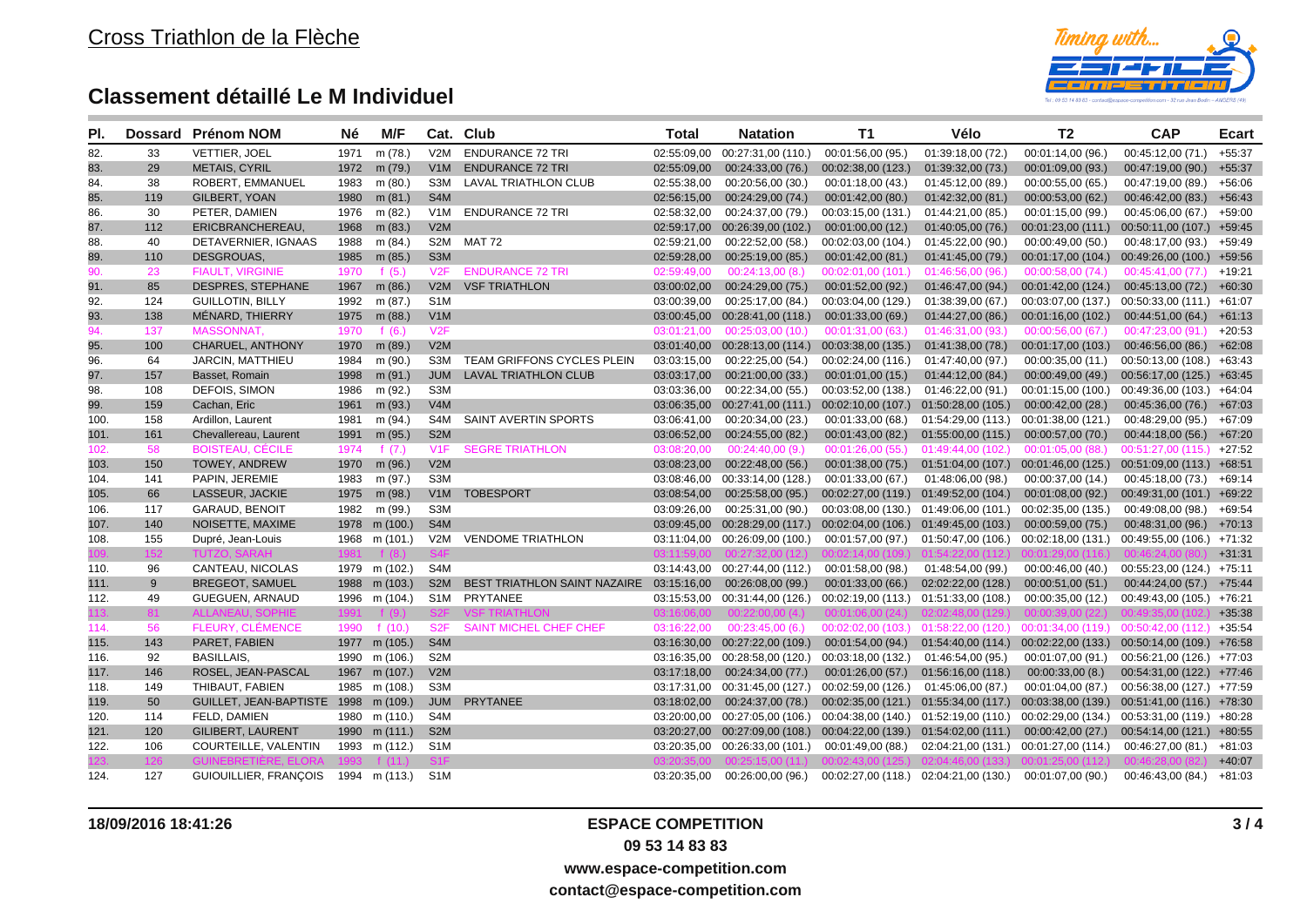

| PI.  | <b>Dossard</b> | <b>Prénom NOM</b>                    | Né   | M/F           |                  | Cat. Club                                    | Total       | <b>Natation</b>                  | <b>T1</b>                             | Vélo                                                    | T <sub>2</sub>     | <b>CAP</b>                 | <b>Ecart</b> |
|------|----------------|--------------------------------------|------|---------------|------------------|----------------------------------------------|-------------|----------------------------------|---------------------------------------|---------------------------------------------------------|--------------------|----------------------------|--------------|
| 82.  | 33             | VETTIER, JOEL                        | 1971 | m (78.)       | V2M              | <b>ENDURANCE 72 TRI</b>                      | 02:55:09,00 | 00:27:31,00 (110.)               | 00:01:56,00 (95.)                     | 01:39:18,00 (72.)                                       | 00:01:14,00 (96.)  | 00:45:12,00 (71.)          | $+55:37$     |
| 83.  | 29             | <b>METAIS, CYRIL</b>                 |      | 1972 m (79.)  | V <sub>1</sub> M | <b>ENDURANCE 72 TRI</b>                      | 02:55:09,00 | 00:24:33,00 (76.)                | 00:02:38,00 (123.)                    | 01:39:32,00 (73.)                                       | 00:01:09,00 (93.)  | 00:47:19,00 (90.)          | $+55:37$     |
| 84.  | 38             | ROBERT, EMMANUEL                     | 1983 | m (80.)       | S3M              | LAVAL TRIATHLON CLUB                         | 02:55:38,00 | 00:20:56,00 (30.)                | 00:01:18,00 (43.)                     | 01:45:12,00 (89.)                                       | 00:00:55,00 (65.)  | 00:47:19,00 (89.)          | $+56:06$     |
| 85.  | 119            | GILBERT, YOAN                        | 1980 | m (81.)       | S4M              |                                              | 02:56:15,00 | 00:24:29,00 (74.)                | 00:01:42,00(80)                       | 01:42:32,00(81)                                         | 00:00:53,00 (62.)  | 00:46:42,00 (83.)          | $+56:43$     |
| 86.  | 30             | PETER, DAMIEN                        | 1976 | m (82.)       | V1M              | <b>ENDURANCE 72 TRI</b>                      | 02:58:32,00 | 00:24:37,00 (79.)                | 00:03:15,00 (131.)                    | 01:44:21,00 (85.)                                       | 00:01:15,00 (99.)  | 00:45:06,00 (67.)          | $+59:00$     |
| 87.  | 112            | ERICBRANCHEREAU,                     | 1968 | m (83.)       | V2M              |                                              |             | 02:59:17,00 00:26:39,00 (102.)   | 00:01:00,00(12)                       | 01:40:05,00 (76.)                                       | 00:01:23,00 (111.) | 00:50:11,00 (107.)         | $+59:45$     |
| 88.  | 40             | DETAVERNIER, IGNAAS                  | 1988 | m (84.)       |                  | S2M MAT 72                                   | 02:59:21,00 | 00:22:52,00 (58.)                | 00:02:03,00 (104.)                    | 01:45:22,00 (90.)                                       | 00:00:49,00(50.)   | 00:48:17,00 (93.)          | $+59:49$     |
| 89.  | 110            | DESGROUAS.                           | 1985 | m (85.)       | S <sub>3</sub> M |                                              | 02:59:28,00 | 00:25:19,00 (85.)                | 00:01:42,00(81)                       | 01:41:45,00 (79.)                                       | 00:01:17,00 (104.) | 00:49:26,00 (100.) +59:56  |              |
| 90.  | 23             | <b>FIAULT, VIRGINIE</b>              | 1970 | f $(5.)$      | V2F              | <b>ENDURANCE 72 TRI</b>                      | 02:59:49.00 | 00:24:13,00(8)                   | 00:02:01,00(101)                      | 01:46:56,00 (96.)                                       | 00:00:58,00 (74.)  | 00:45:41,00(77)            | $+19:21$     |
| 91.  | 85             | DESPRES, STEPHANE                    | 1967 | m (86.)       | V2M              | <b>VSF TRIATHLON</b>                         | 03:00:02,00 | 00:24:29,00 (75.)                | 00:01:52,00(92)                       | 01:46:47,00 (94.)                                       | 00:01:42,00 (124.) | $00:45:13,00(72)$ +60:30   |              |
| 92.  | 124            | <b>GUILLOTIN, BILLY</b>              | 1992 | m (87.)       | S <sub>1</sub> M |                                              | 03:00:39,00 | 00:25:17,00 (84.)                | 00:03:04,00 (129.)                    | 01:38:39,00 (67.)                                       | 00:03:07,00 (137.) | 00:50:33,00 (111.) +61:07  |              |
| 93.  | 138            | MÉNARD, THIERRY                      | 1975 | m (88.)       | V1M              |                                              |             | 03:00:45,00 00:28:41,00 (118.)   | 00:01:33,00(69)                       | 01:44:27,00(86.)                                        | 00:01:16,00 (102.) | 00:44:51,00 (64.)          | $+61:13$     |
| 94.  | 137            | MASSONNAT,                           | 1970 | f $(6.)$      | V2F              |                                              | 03:01:21,00 | 00:25:03,00(10)                  | 00:01:31,00(63)                       | 01:46:31,00 (93.)                                       | 00:00:56,00(67)    | 00:47:23,00(91)            | $+20:53$     |
| 95.  | 100            | <b>CHARUEL, ANTHONY</b>              | 1970 | m (89.)       | V2M              |                                              |             | 03:01:40,00 00:28:13,00 (114.)   | 00:03:38,00 (135.)                    | 01:41:38,00 (78.)                                       | 00:01:17,00 (103.) | 00:46:56,00 (86.)          | $+62:08$     |
| 96.  | 64             | JARCIN, MATTHIEU                     | 1984 | m (90.)       |                  | S3M TEAM GRIFFONS CYCLES PLEIN               | 03:03:15,00 | 00:22:25,00 (54.)                | 00:02:24,00 (116.)                    | 01:47:40,00 (97.)                                       | 00:00:35,00(11.)   | 00:50:13,00 (108.) +63:43  |              |
| 97.  | 157            | Basset, Romain                       |      | 1998 m (91.)  |                  | JUM LAVAL TRIATHLON CLUB                     | 03:03:17,00 | 00:21:00,00(33)                  | 00:01:01,00(15)                       | 01:44:12,00 (84.)                                       | 00:00:49,00(49)    | 00:56:17,00 (125.) +63:45  |              |
| 98.  | 108            | DEFOIS, SIMON                        | 1986 | m (92.)       | S3M              |                                              | 03:03:36,00 | 00:22:34,00 (55.)                | 00:03:52,00 (138.)                    | 01:46:22,00 (91.)                                       | 00:01:15,00 (100.) | 00:49:36,00 (103.)         | +64:04       |
| 99.  | 159            | Cachan, Eric                         | 1961 | m (93.)       | V4M              |                                              | 03:06:35,00 | 00:27:41,00 (111.)               | 00:02:10,00 (107.) 01:50:28,00 (105.) |                                                         | 00:00:42,00 (28.)  | 00:45:36,00 (76.)          | $+67:03$     |
| 100. | 158            | Ardillon, Laurent                    | 1981 | m (94.)       | S4M              | SAINT AVERTIN SPORTS                         | 03:06:41,00 | 00:20:34,00 (23.)                | 00:01:33,00 (68.)                     | 01:54:29,00 (113.)                                      | 00:01:38,00 (121.) | 00:48:29,00 (95.)          | $+67:09$     |
| 101. | 161            | Chevallereau, Laurent                | 1991 | m (95.)       | S <sub>2</sub> M |                                              | 03:06:52,00 | 00:24:55,00 (82.)                | 00:01:43,00(82)                       | 01:55:00,00 (115.)                                      | 00:00:57,00 (70.)  | $00:44:18,00(56.) +67:20$  |              |
| 102. | 58             | <b>BOISTEAU, CÉCILE</b>              | 1974 | f $(7.)$      | V1F              | <b>SEGRE TRIATHLON</b>                       | 03:08:20,00 | 00:24:40,00(9)                   | 00:01:26,00(55.)                      | 01:49:44,00 (102.)                                      | 00:01:05,00 (88.)  | $00:51:27,00(115.) +27:52$ |              |
| 103. | 150            | <b>TOWEY, ANDREW</b>                 |      | 1970 m (96.)  | V2M              |                                              | 03:08:23,00 | 00:22:48,00(56.)                 | 00:01:38,00(75.)                      | 01:51:04,00 (107.) 00:01:46,00 (125.)                   |                    | $00:51:09:00(113.) +68:51$ |              |
| 104. | 141            | PAPIN, JEREMIE                       | 1983 | m (97.)       | S3M              |                                              | 03:08:46,00 | 00:33:14,00 (128.)               | 00:01:33,00 (67.)                     | 01:48:06,00 (98.)                                       | 00:00:37,00 (14.)  | 00:45:18,00 (73.)          | $+69:14$     |
| 105. | 66             | LASSEUR, JACKIE                      | 1975 | m (98.)       |                  | V1M TOBESPORT                                | 03:08:54,00 | 00:25:58,00 (95.)                |                                       | 00:02:27,00 (119.) 01:49:52,00 (104.)                   | 00:01:08,00 (92.)  | 00:49:31,00 (101.) +69:22  |              |
| 106. | 117            | <b>GARAUD, BENOIT</b>                | 1982 | m (99.)       | S <sub>3</sub> M |                                              | 03:09:26.00 | 00:25:31,00 (90.)                |                                       | 00:03:08,00 (130.) 01:49:06,00 (101.)                   | 00:02:35,00 (135.) | 00:49:08,00 (98.)          | $+69:54$     |
| 107. | 140            | NOISETTE, MAXIME                     |      | 1978 m (100.) | S4M              |                                              |             | 03:09:45,00 00:28:29,00 (117.)   | 00:02:04,00 (106.) 01:49:45,00 (103.) |                                                         | 00:00:59,00 (75.)  | 00:48:31,00 (96.)          | $+70:13$     |
| 108. | 155            | Dupré, Jean-Louis                    | 1968 | m (101.)      |                  | V2M VENDOME TRIATHLON                        |             | 03:11:04.00  00:26:09.00 (100.)  | 00:01:57,00 (97.)                     | 01:50:47,00 (106.)                                      | 00:02:18,00 (131.) | 00:49:55,00 (106.) +71:32  |              |
|      | 152            | TUT7O                                |      |               |                  |                                              |             |                                  |                                       |                                                         |                    |                            | $+31:31$     |
| 110. | 96             | CANTEAU, NICOLAS                     |      | 1979 m (102.) | S4M              |                                              |             | 03:14:43,00 00:27:44,00 (112.)   | 00:01:58,00 (98.)                     | 01:48:54,00 (99.)                                       | 00:00:46,00 (40.)  | $00:55:23,00(124.) +75:11$ |              |
| 111. | 9              | <b>BREGEOT, SAMUEL</b>               |      | 1988 m (103.) |                  | S2M BEST TRIATHLON SAINT NAZAIRE 03:15:16,00 |             | 00:26:08,00 (99.)                | 00:01:33,00(66)                       | 02:02:22,00 (128.)                                      | 00:00:51,00(51)    | 00:44:24,00 (57.) +75:44   |              |
| 112. | 49             | <b>GUEGUEN, ARNAUD</b>               |      | 1996 m (104.) |                  | S1M PRYTANEE                                 |             | 03:15:53.00  00:31:44.00  (126.) | 00:02:19,00 (113.) 01:51:33,00 (108.) |                                                         | 00:00:35,00 (12.)  | 00:49:43.00 (105.)         | $+76:21$     |
|      | 81             | <b>ALLANEAU, SOPHIE</b>              | 1991 | f $(9)$       | S <sub>2</sub> F | <b>VSF TRIATHLON</b>                         | 03.16.06.00 | 00:22:00.00(4)                   | 00:01:06.00(24)                       |                                                         | 00:00:39.00(22)    | 00.493500(1                | $+35:38$     |
| 114. | 56             | FLEURY, CLÉMENCE                     | 1990 | f $(10.)$     | S <sub>2F</sub>  | <b>SAINT MICHEL CHEF CHEF</b>                | 03:16:22.00 | 00:23:45,00(6.)                  |                                       | $00:02:02:00$ (103.) $01:58:22:00$ (120.)               | 00:01:34.00(119)   | $00:50:42,00(112)$ +35:54  |              |
| 115. | 143            | PARET, FABIEN                        |      | 1977 m (105.) | S4M              |                                              |             | 03:16:30,00 00:27:22,00 (109.)   |                                       | 00:01:54,00 (94.) 01:54:40,00 (114.)                    | 00:02:22,00 (133.) | 00:50:14,00 (109.)         | +76:58       |
| 116. | 92             | <b>BASILLAIS.</b>                    |      | 1990 m (106.) | S <sub>2</sub> M |                                              |             | 03:16:35,00 00:28:58,00 (120.)   | 00:03:18,00 (132.) 01:46:54,00 (95.)  |                                                         | 00:01:07,00 (91.)  | 00:56:21,00 (126.)         | +77:03       |
| 117. | 146            | ROSEL, JEAN-PASCAL                   |      | 1967 m (107.) | V2M              |                                              | 03:17:18,00 | 00:24:34,00 (77.)                |                                       | 00:01:26,00 (57.) 01:56:16,00 (118.)                    | 00:00:33,00(8.)    | 00:54:31,00 (122.) +77:46  |              |
| 118. | 149            | THIBAUT, FABIEN                      |      | 1985 m (108.) | S3M              |                                              |             | 03:17:31,00 00:31:45,00 (127.)   | 00:02:59,00 (126.)                    | 01:45:06,00 (87.)                                       | 00:01:04,00 (87.)  | 00:56:38,00 (127.) +77:59  |              |
| 119. | 50             | GUILLET, JEAN-BAPTISTE 1998 m (109.) |      |               | <b>JUM</b>       | PRYTANEE                                     | 03:18:02,00 | 00:24:37,00 (78.)                |                                       | 00:02:35,00 (121.) 01:55:34,00 (117.)                   | 00:03:38,00 (139.) | $00:51:41,00(116.) +78:30$ |              |
| 120. | 114            | FELD, DAMIEN                         | 1980 | m (110.)      | S4M              |                                              |             | 03:20:00,00 00:27:05,00 (106.)   | 00:04:38,00 (140.) 01:52:19,00 (110.) |                                                         | 00:02:29,00 (134.) | 00:53:31,00 (119.)         | +80:28       |
| 121. | 120            | <b>GILIBERT, LAURENT</b>             |      | 1990 m (111.) | S <sub>2</sub> M |                                              |             | 03:20:27,00 00:27:09,00 (108.)   | 00:04:22,00 (139.) 01:54:02,00 (111.) |                                                         | 00:00:42,00 (27.)  | 00:54:14,00 (121.)         | $+80:55$     |
| 122. | 106            | COURTEILLE, VALENTIN                 |      | 1993 m (112.) | S <sub>1</sub> M |                                              |             | 03:20:35,00 00:26:33,00 (101.)   |                                       | 00:01:49.00 (88.) 02:04:21.00 (131.) 00:01:27.00 (114.) |                    | 00:46:27,00 (81.)          | $+81:03$     |
|      | 126            |                                      | 199  |               |                  |                                              |             |                                  |                                       |                                                         |                    |                            | $+40:07$     |
| 124. | 127            | GUIOUILLIER, FRANÇOIS 1994 m (113.)  |      |               | S <sub>1</sub> M |                                              |             | 03:20:35,00 00:26:00,00 (96.)    | 00:02:27,00 (118.) 02:04:21,00 (130.) |                                                         | 00:01:07,00 (90.)  | 00:46:43,00 (84.)          | $+81:03$     |

**contact@espace-competition.com**